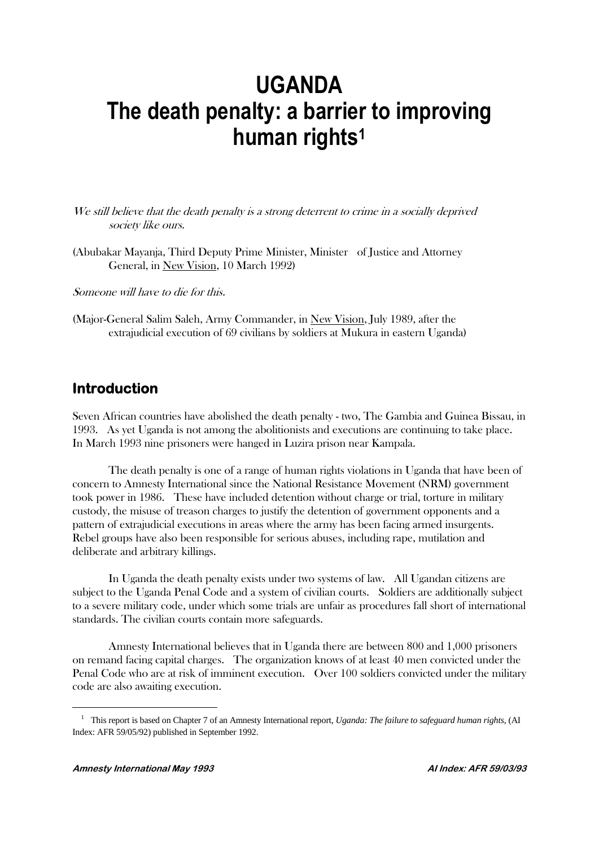# **UGANDA The death penalty: a barrier to improving human rights<sup>1</sup>**

We still believe that the death penalty is a strong deterrent to crime in a socially deprived society like ours.

(Abubakar Mayanja, Third Deputy Prime Minister, Minister of Justice and Attorney General, in New Vision, 10 March 1992)

Someone will have to die for this.

(Major-General Salim Saleh, Army Commander, in New Vision, July 1989, after the extrajudicial execution of 69 civilians by soldiers at Mukura in eastern Uganda)

# **Introduction**

Seven African countries have abolished the death penalty - two, The Gambia and Guinea Bissau, in 1993. As yet Uganda is not among the abolitionists and executions are continuing to take place. In March 1993 nine prisoners were hanged in Luzira prison near Kampala.

The death penalty is one of a range of human rights violations in Uganda that have been of concern to Amnesty International since the National Resistance Movement (NRM) government took power in 1986. These have included detention without charge or trial, torture in military custody, the misuse of treason charges to justify the detention of government opponents and a pattern of extrajudicial executions in areas where the army has been facing armed insurgents. Rebel groups have also been responsible for serious abuses, including rape, mutilation and deliberate and arbitrary killings.

In Uganda the death penalty exists under two systems of law. All Ugandan citizens are subject to the Uganda Penal Code and a system of civilian courts. Soldiers are additionally subject to a severe military code, under which some trials are unfair as procedures fall short of international standards. The civilian courts contain more safeguards.

Amnesty International believes that in Uganda there are between 800 and 1,000 prisoners on remand facing capital charges. The organization knows of at least 40 men convicted under the Penal Code who are at risk of imminent execution. Over 100 soldiers convicted under the military code are also awaiting execution.

<sup>&</sup>lt;sup>1</sup> This report is based on Chapter 7 of an Amnesty International report, *Uganda: The failure to safeguard human rights*, (AI Index: AFR 59/05/92) published in September 1992.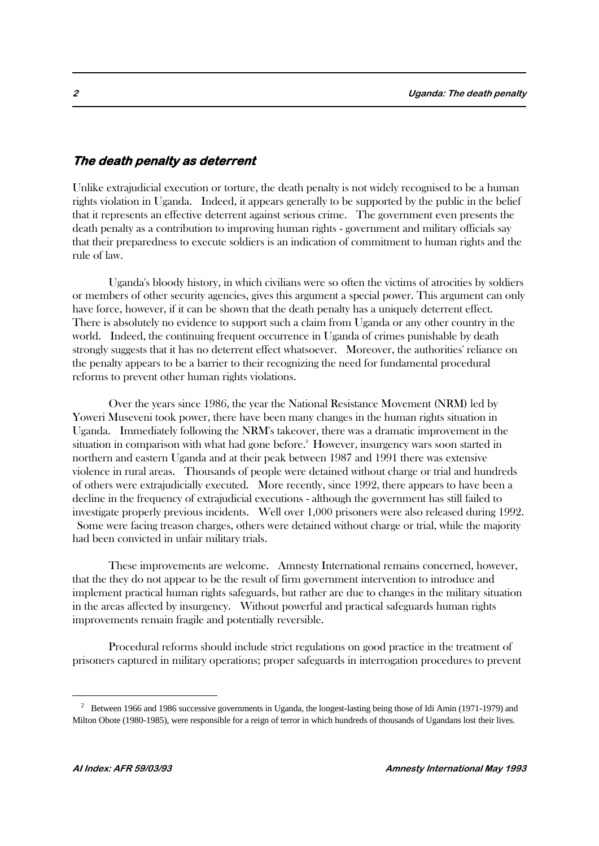### **The death penalty as deterrent**

Unlike extrajudicial execution or torture, the death penalty is not widely recognised to be a human rights violation in Uganda. Indeed, it appears generally to be supported by the public in the belief that it represents an effective deterrent against serious crime. The government even presents the death penalty as a contribution to improving human rights - government and military officials say that their preparedness to execute soldiers is an indication of commitment to human rights and the rule of law.

Uganda's bloody history, in which civilians were so often the victims of atrocities by soldiers or members of other security agencies, gives this argument a special power. This argument can only have force, however, if it can be shown that the death penalty has a uniquely deterrent effect. There is absolutely no evidence to support such a claim from Uganda or any other country in the world. Indeed, the continuing frequent occurrence in Uganda of crimes punishable by death strongly suggests that it has no deterrent effect whatsoever. Moreover, the authorities' reliance on the penalty appears to be a barrier to their recognizing the need for fundamental procedural reforms to prevent other human rights violations.

Over the years since 1986, the year the National Resistance Movement (NRM) led by Yoweri Museveni took power, there have been many changes in the human rights situation in Uganda. Immediately following the NRM's takeover, there was a dramatic improvement in the situation in comparison with what had gone before.<sup>2</sup> However, insurgency wars soon started in northern and eastern Uganda and at their peak between 1987 and 1991 there was extensive violence in rural areas. Thousands of people were detained without charge or trial and hundreds of others were extrajudicially executed. More recently, since 1992, there appears to have been a decline in the frequency of extrajudicial executions - although the government has still failed to investigate properly previous incidents. Well over 1,000 prisoners were also released during 1992. Some were facing treason charges, others were detained without charge or trial, while the majority had been convicted in unfair military trials.

These improvements are welcome. Amnesty International remains concerned, however, that the they do not appear to be the result of firm government intervention to introduce and implement practical human rights safeguards, but rather are due to changes in the military situation in the areas affected by insurgency. Without powerful and practical safeguards human rights improvements remain fragile and potentially reversible.

Procedural reforms should include strict regulations on good practice in the treatment of prisoners captured in military operations; proper safeguards in interrogation procedures to prevent

 $2$  Between 1966 and 1986 successive governments in Uganda, the longest-lasting being those of Idi Amin (1971-1979) and Milton Obote (1980-1985), were responsible for a reign of terror in which hundreds of thousands of Ugandans lost their lives.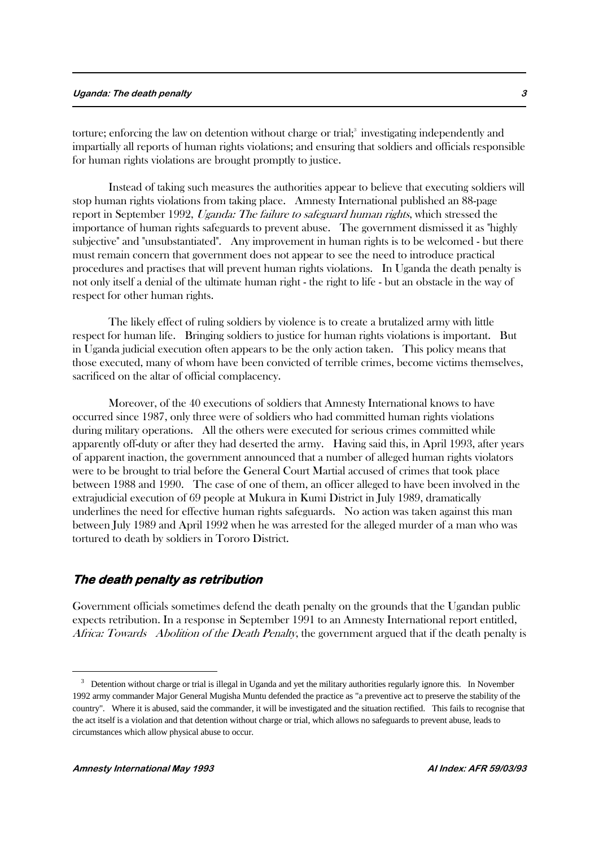#### **Uganda: The death penalty 3**

torture; enforcing the law on detention without charge or trial;<sup>3</sup> investigating independently and impartially all reports of human rights violations; and ensuring that soldiers and officials responsible for human rights violations are brought promptly to justice.

Instead of taking such measures the authorities appear to believe that executing soldiers will stop human rights violations from taking place. Amnesty International published an 88-page report in September 1992, Uganda: The failure to safeguard human rights, which stressed the importance of human rights safeguards to prevent abuse. The government dismissed it as "highly subjective" and "unsubstantiated". Any improvement in human rights is to be welcomed - but there must remain concern that government does not appear to see the need to introduce practical procedures and practises that will prevent human rights violations. In Uganda the death penalty is not only itself a denial of the ultimate human right - the right to life - but an obstacle in the way of respect for other human rights.

The likely effect of ruling soldiers by violence is to create a brutalized army with little respect for human life. Bringing soldiers to justice for human rights violations is important. But in Uganda judicial execution often appears to be the only action taken. This policy means that those executed, many of whom have been convicted of terrible crimes, become victims themselves, sacrificed on the altar of official complacency.

Moreover, of the 40 executions of soldiers that Amnesty International knows to have occurred since 1987, only three were of soldiers who had committed human rights violations during military operations. All the others were executed for serious crimes committed while apparently off-duty or after they had deserted the army. Having said this, in April 1993, after years of apparent inaction, the government announced that a number of alleged human rights violators were to be brought to trial before the General Court Martial accused of crimes that took place between 1988 and 1990. The case of one of them, an officer alleged to have been involved in the extrajudicial execution of 69 people at Mukura in Kumi District in July 1989, dramatically underlines the need for effective human rights safeguards. No action was taken against this man between July 1989 and April 1992 when he was arrested for the alleged murder of a man who was tortured to death by soldiers in Tororo District.

### **The death penalty as retribution**

Government officials sometimes defend the death penalty on the grounds that the Ugandan public expects retribution. In a response in September 1991 to an Amnesty International report entitled, Africa: Towards Abolition of the Death Penalty, the government argued that if the death penalty is

<sup>&</sup>lt;sup>3</sup> Detention without charge or trial is illegal in Uganda and yet the military authorities regularly ignore this. In November 1992 army commander Major General Mugisha Muntu defended the practice as "a preventive act to preserve the stability of the country". Where it is abused, said the commander, it will be investigated and the situation rectified. This fails to recognise that the act itself is a violation and that detention without charge or trial, which allows no safeguards to prevent abuse, leads to circumstances which allow physical abuse to occur.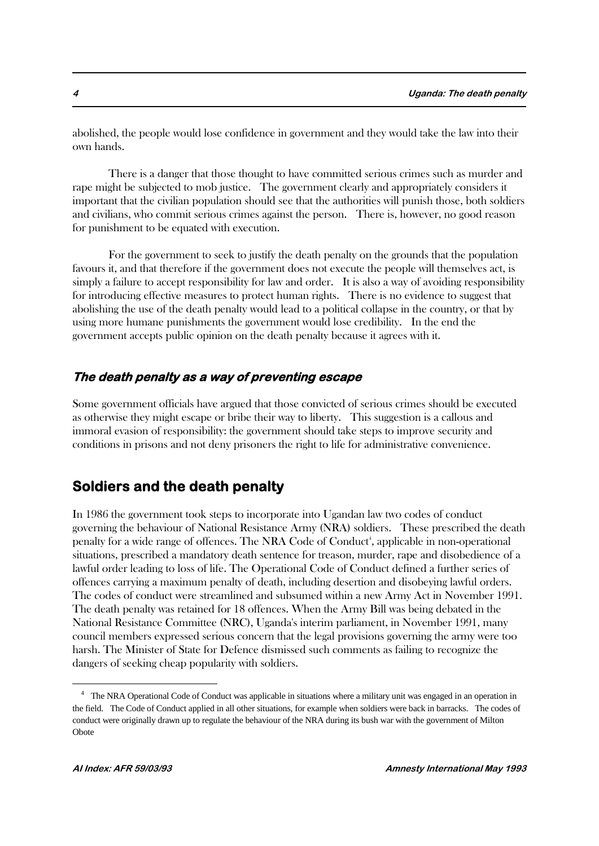abolished, the people would lose confidence in government and they would take the law into their own hands.

There is a danger that those thought to have committed serious crimes such as murder and rape might be subjected to mob justice. The government clearly and appropriately considers it important that the civilian population should see that the authorities will punish those, both soldiers and civilians, who commit serious crimes against the person. There is, however, no good reason for punishment to be equated with execution.

For the government to seek to justify the death penalty on the grounds that the population favours it, and that therefore if the government does not execute the people will themselves act, is simply a failure to accept responsibility for law and order. It is also a way of avoiding responsibility for introducing effective measures to protect human rights. There is no evidence to suggest that abolishing the use of the death penalty would lead to a political collapse in the country, or that by using more humane punishments the government would lose credibility. In the end the government accepts public opinion on the death penalty because it agrees with it.

### **The death penalty as a way of preventing escape**

Some government officials have argued that those convicted of serious crimes should be executed as otherwise they might escape or bribe their way to liberty. This suggestion is a callous and immoral evasion of responsibility: the government should take steps to improve security and conditions in prisons and not deny prisoners the right to life for administrative convenience.

# **Soldiers and the death penalty**

In 1986 the government took steps to incorporate into Ugandan law two codes of conduct governing the behaviour of National Resistance Army (NRA) soldiers. These prescribed the death penalty for a wide range of offences. The NRA Code of Conduct<sup>4</sup>, applicable in non-operational situations, prescribed a mandatory death sentence for treason, murder, rape and disobedience of a lawful order leading to loss of life. The Operational Code of Conduct defined a further series of offences carrying a maximum penalty of death, including desertion and disobeying lawful orders. The codes of conduct were streamlined and subsumed within a new Army Act in November 1991. The death penalty was retained for 18 offences. When the Army Bill was being debated in the National Resistance Committee (NRC), Uganda's interim parliament, in November 1991, many council members expressed serious concern that the legal provisions governing the army were too harsh. The Minister of State for Defence dismissed such comments as failing to recognize the dangers of seeking cheap popularity with soldiers.

<sup>&</sup>lt;sup>4</sup> The NRA Operational Code of Conduct was applicable in situations where a military unit was engaged in an operation in the field. The Code of Conduct applied in all other situations, for example when soldiers were back in barracks. The codes of conduct were originally drawn up to regulate the behaviour of the NRA during its bush war with the government of Milton **Obote**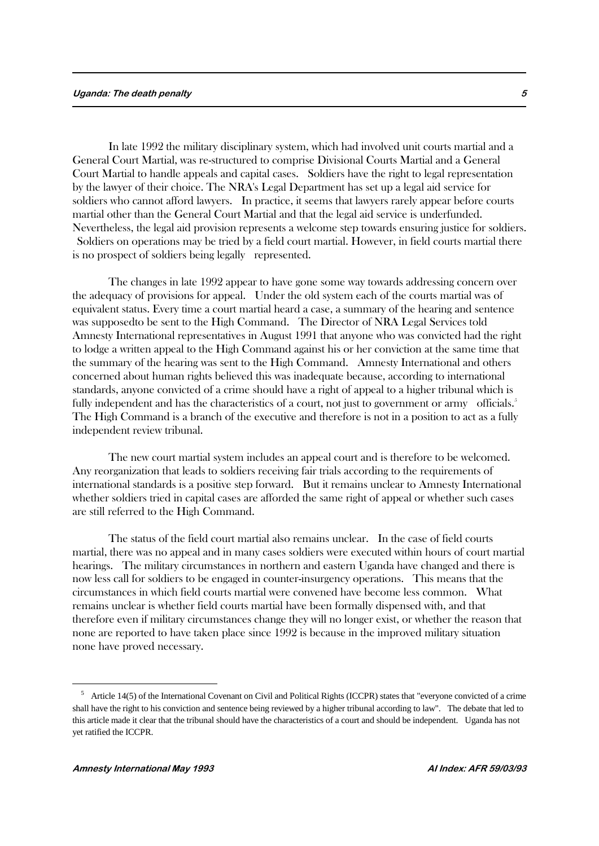#### **Uganda: The death penalty 5**

In late 1992 the military disciplinary system, which had involved unit courts martial and a General Court Martial, was re-structured to comprise Divisional Courts Martial and a General Court Martial to handle appeals and capital cases. Soldiers have the right to legal representation by the lawyer of their choice. The NRA's Legal Department has set up a legal aid service for soldiers who cannot afford lawyers. In practice, it seems that lawyers rarely appear before courts martial other than the General Court Martial and that the legal aid service is underfunded. Nevertheless, the legal aid provision represents a welcome step towards ensuring justice for soldiers. Soldiers on operations may be tried by a field court martial. However, in field courts martial there is no prospect of soldiers being legally represented.

The changes in late 1992 appear to have gone some way towards addressing concern over the adequacy of provisions for appeal. Under the old system each of the courts martial was of equivalent status. Every time a court martial heard a case, a summary of the hearing and sentence was supposedto be sent to the High Command. The Director of NRA Legal Services told Amnesty International representatives in August 1991 that anyone who was convicted had the right to lodge a written appeal to the High Command against his or her conviction at the same time that the summary of the hearing was sent to the High Command. Amnesty International and others concerned about human rights believed this was inadequate because, according to international standards, anyone convicted of a crime should have a right of appeal to a higher tribunal which is fully independent and has the characteristics of a court, not just to government or army officials.<sup>5</sup> The High Command is a branch of the executive and therefore is not in a position to act as a fully independent review tribunal.

The new court martial system includes an appeal court and is therefore to be welcomed. Any reorganization that leads to soldiers receiving fair trials according to the requirements of international standards is a positive step forward. But it remains unclear to Amnesty International whether soldiers tried in capital cases are afforded the same right of appeal or whether such cases are still referred to the High Command.

The status of the field court martial also remains unclear. In the case of field courts martial, there was no appeal and in many cases soldiers were executed within hours of court martial hearings. The military circumstances in northern and eastern Uganda have changed and there is now less call for soldiers to be engaged in counter-insurgency operations. This means that the circumstances in which field courts martial were convened have become less common. What remains unclear is whether field courts martial have been formally dispensed with, and that therefore even if military circumstances change they will no longer exist, or whether the reason that none are reported to have taken place since 1992 is because in the improved military situation none have proved necessary.

<sup>&</sup>lt;sup>5</sup> Article 14(5) of the International Covenant on Civil and Political Rights (ICCPR) states that "everyone convicted of a crime shall have the right to his conviction and sentence being reviewed by a higher tribunal according to law". The debate that led to this article made it clear that the tribunal should have the characteristics of a court and should be independent. Uganda has not yet ratified the ICCPR.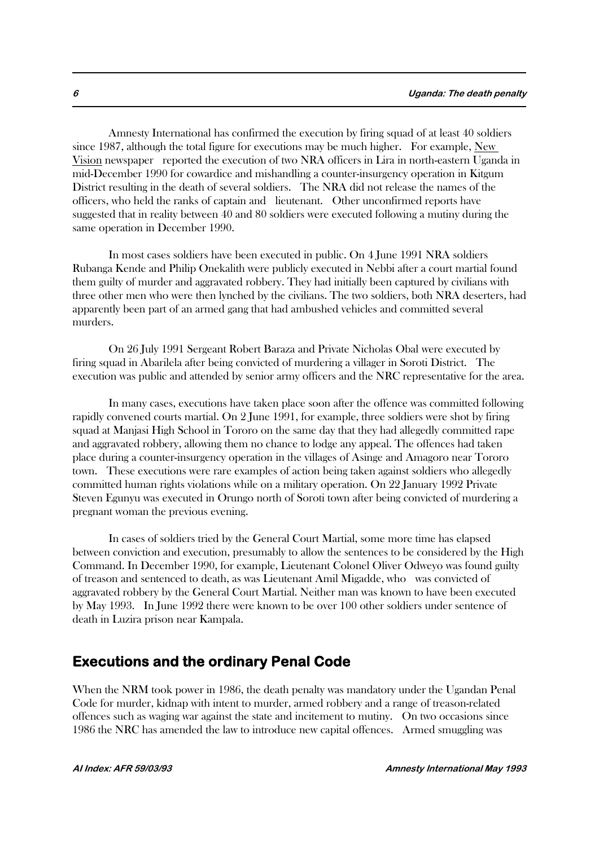Amnesty International has confirmed the execution by firing squad of at least 40 soldiers since 1987, although the total figure for executions may be much higher. For example, New Vision newspaper reported the execution of two NRA officers in Lira in north-eastern Uganda in mid-December 1990 for cowardice and mishandling a counter-insurgency operation in Kitgum District resulting in the death of several soldiers. The NRA did not release the names of the officers, who held the ranks of captain and lieutenant. Other unconfirmed reports have suggested that in reality between 40 and 80 soldiers were executed following a mutiny during the same operation in December 1990.

In most cases soldiers have been executed in public. On 4 June 1991 NRA soldiers Rubanga Kende and Philip Onekalith were publicly executed in Nebbi after a court martial found them guilty of murder and aggravated robbery. They had initially been captured by civilians with three other men who were then lynched by the civilians. The two soldiers, both NRA deserters, had apparently been part of an armed gang that had ambushed vehicles and committed several murders.

On 26 July 1991 Sergeant Robert Baraza and Private Nicholas Obal were executed by firing squad in Abarilela after being convicted of murdering a villager in Soroti District. The execution was public and attended by senior army officers and the NRC representative for the area.

In many cases, executions have taken place soon after the offence was committed following rapidly convened courts martial. On 2 June 1991, for example, three soldiers were shot by firing squad at Manjasi High School in Tororo on the same day that they had allegedly committed rape and aggravated robbery, allowing them no chance to lodge any appeal. The offences had taken place during a counter-insurgency operation in the villages of Asinge and Amagoro near Tororo town. These executions were rare examples of action being taken against soldiers who allegedly committed human rights violations while on a military operation. On 22 January 1992 Private Steven Egunyu was executed in Orungo north of Soroti town after being convicted of murdering a pregnant woman the previous evening.

In cases of soldiers tried by the General Court Martial, some more time has elapsed between conviction and execution, presumably to allow the sentences to be considered by the High Command. In December 1990, for example, Lieutenant Colonel Oliver Odweyo was found guilty of treason and sentenced to death, as was Lieutenant Amil Migadde, who was convicted of aggravated robbery by the General Court Martial. Neither man was known to have been executed by May 1993. In June 1992 there were known to be over 100 other soldiers under sentence of death in Luzira prison near Kampala.

### **Executions and the ordinary Penal Code**

When the NRM took power in 1986, the death penalty was mandatory under the Ugandan Penal Code for murder, kidnap with intent to murder, armed robbery and a range of treason-related offences such as waging war against the state and incitement to mutiny. On two occasions since 1986 the NRC has amended the law to introduce new capital offences. Armed smuggling was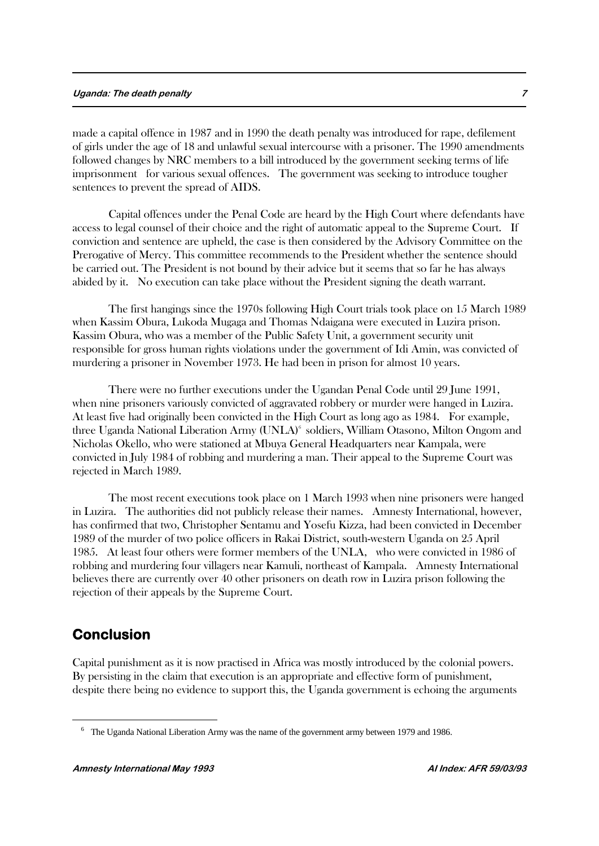#### **Uganda: The death penalty 7**

made a capital offence in 1987 and in 1990 the death penalty was introduced for rape, defilement of girls under the age of 18 and unlawful sexual intercourse with a prisoner. The 1990 amendments followed changes by NRC members to a bill introduced by the government seeking terms of life imprisonment for various sexual offences. The government was seeking to introduce tougher sentences to prevent the spread of AIDS.

Capital offences under the Penal Code are heard by the High Court where defendants have access to legal counsel of their choice and the right of automatic appeal to the Supreme Court. If conviction and sentence are upheld, the case is then considered by the Advisory Committee on the Prerogative of Mercy. This committee recommends to the President whether the sentence should be carried out. The President is not bound by their advice but it seems that so far he has always abided by it. No execution can take place without the President signing the death warrant.

The first hangings since the 1970s following High Court trials took place on 15 March 1989 when Kassim Obura, Lukoda Mugaga and Thomas Ndaigana were executed in Luzira prison. Kassim Obura, who was a member of the Public Safety Unit, a government security unit responsible for gross human rights violations under the government of Idi Amin, was convicted of murdering a prisoner in November 1973. He had been in prison for almost 10 years.

There were no further executions under the Ugandan Penal Code until 29 June 1991, when nine prisoners variously convicted of aggravated robbery or murder were hanged in Luzira. At least five had originally been convicted in the High Court as long ago as 1984. For example, three Uganda National Liberation Army (UNLA)<sup>6</sup> soldiers, William Otasono, Milton Ongom and Nicholas Okello, who were stationed at Mbuya General Headquarters near Kampala, were convicted in July 1984 of robbing and murdering a man. Their appeal to the Supreme Court was rejected in March 1989.

The most recent executions took place on 1 March 1993 when nine prisoners were hanged in Luzira. The authorities did not publicly release their names. Amnesty International, however, has confirmed that two, Christopher Sentamu and Yosefu Kizza, had been convicted in December 1989 of the murder of two police officers in Rakai District, south-western Uganda on 25 April 1985. At least four others were former members of the UNLA, who were convicted in 1986 of robbing and murdering four villagers near Kamuli, northeast of Kampala. Amnesty International believes there are currently over 40 other prisoners on death row in Luzira prison following the rejection of their appeals by the Supreme Court.

# **Conclusion**

1

Capital punishment as it is now practised in Africa was mostly introduced by the colonial powers. By persisting in the claim that execution is an appropriate and effective form of punishment, despite there being no evidence to support this, the Uganda government is echoing the arguments

<sup>&</sup>lt;sup>6</sup> The Uganda National Liberation Army was the name of the government army between 1979 and 1986.